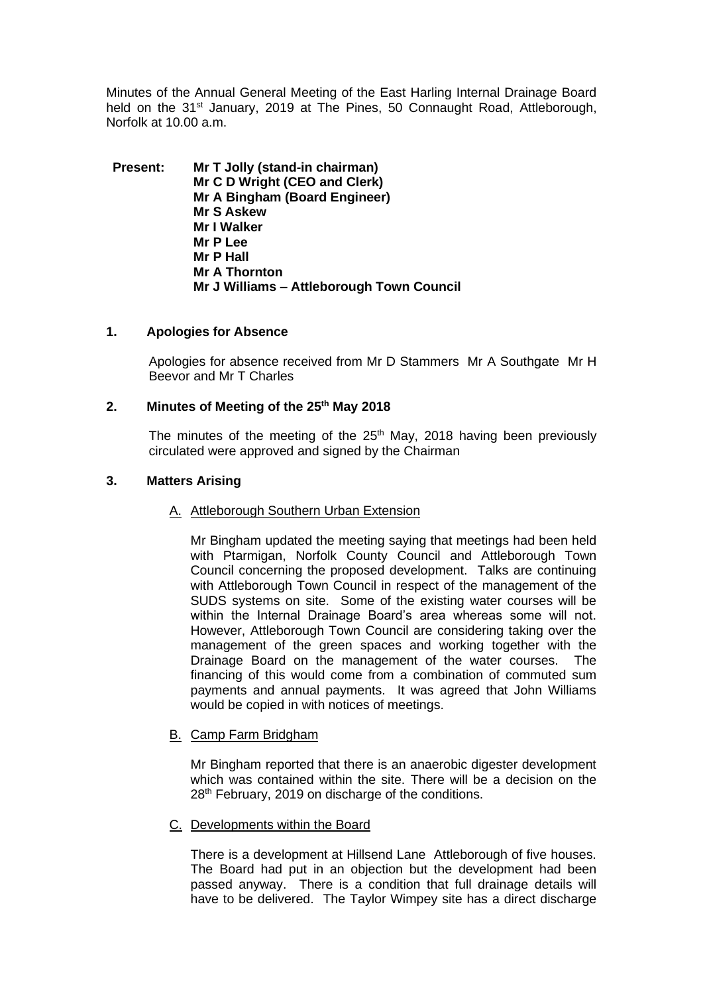Minutes of the Annual General Meeting of the East Harling Internal Drainage Board held on the 31<sup>st</sup> January, 2019 at The Pines, 50 Connaught Road, Attleborough, Norfolk at 10.00 a.m.

**Present: Mr T Jolly (stand-in chairman) Mr C D Wright (CEO and Clerk) Mr A Bingham (Board Engineer) Mr S Askew Mr I Walker Mr P Lee Mr P Hall Mr A Thornton Mr J Williams – Attleborough Town Council**

## **1. Apologies for Absence**

Apologies for absence received from Mr D Stammers Mr A Southgate Mr H Beevor and Mr T Charles

## **2. Minutes of Meeting of the 25th May 2018**

The minutes of the meeting of the 25<sup>th</sup> May, 2018 having been previously circulated were approved and signed by the Chairman

## **3. Matters Arising**

#### A. Attleborough Southern Urban Extension

Mr Bingham updated the meeting saying that meetings had been held with Ptarmigan, Norfolk County Council and Attleborough Town Council concerning the proposed development. Talks are continuing with Attleborough Town Council in respect of the management of the SUDS systems on site. Some of the existing water courses will be within the Internal Drainage Board's area whereas some will not. However, Attleborough Town Council are considering taking over the management of the green spaces and working together with the Drainage Board on the management of the water courses. The financing of this would come from a combination of commuted sum payments and annual payments. It was agreed that John Williams would be copied in with notices of meetings.

# B. Camp Farm Bridgham

Mr Bingham reported that there is an anaerobic digester development which was contained within the site. There will be a decision on the 28<sup>th</sup> February, 2019 on discharge of the conditions.

#### C. Developments within the Board

There is a development at Hillsend Lane Attleborough of five houses. The Board had put in an objection but the development had been passed anyway. There is a condition that full drainage details will have to be delivered. The Taylor Wimpey site has a direct discharge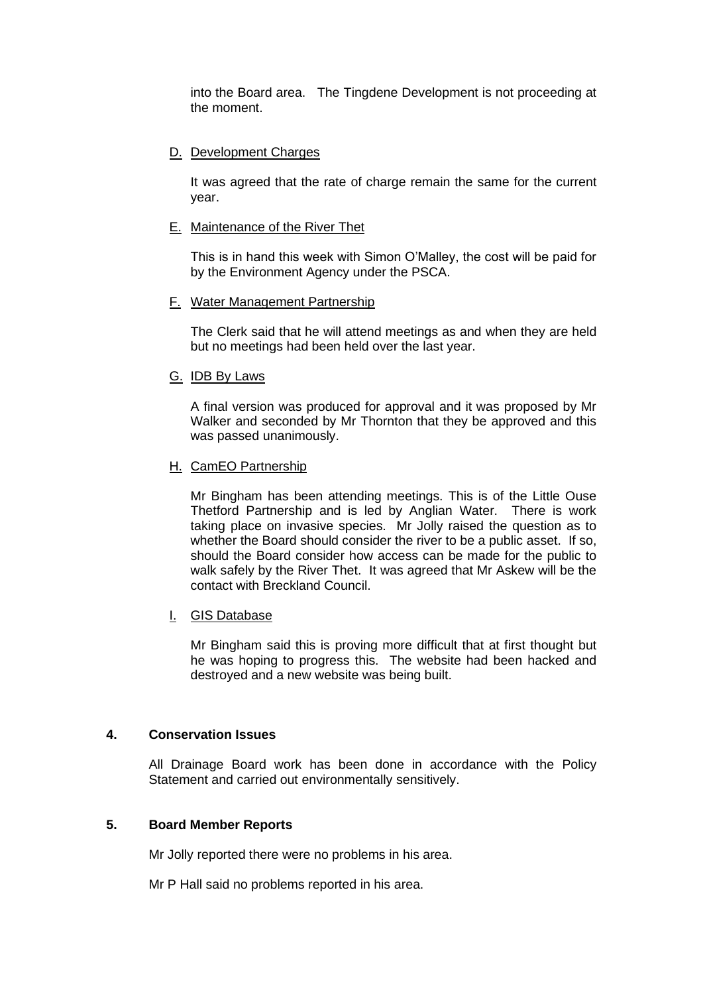into the Board area. The Tingdene Development is not proceeding at the moment.

# D. Development Charges

It was agreed that the rate of charge remain the same for the current year.

## E. Maintenance of the River Thet

This is in hand this week with Simon O'Malley, the cost will be paid for by the Environment Agency under the PSCA.

#### F. Water Management Partnership

The Clerk said that he will attend meetings as and when they are held but no meetings had been held over the last year.

## G. IDB By Laws

A final version was produced for approval and it was proposed by Mr Walker and seconded by Mr Thornton that they be approved and this was passed unanimously.

## H. CamEO Partnership

Mr Bingham has been attending meetings. This is of the Little Ouse Thetford Partnership and is led by Anglian Water. There is work taking place on invasive species. Mr Jolly raised the question as to whether the Board should consider the river to be a public asset. If so, should the Board consider how access can be made for the public to walk safely by the River Thet. It was agreed that Mr Askew will be the contact with Breckland Council.

# I. GIS Database

Mr Bingham said this is proving more difficult that at first thought but he was hoping to progress this. The website had been hacked and destroyed and a new website was being built.

#### **4. Conservation Issues**

All Drainage Board work has been done in accordance with the Policy Statement and carried out environmentally sensitively.

#### **5. Board Member Reports**

Mr Jolly reported there were no problems in his area.

Mr P Hall said no problems reported in his area.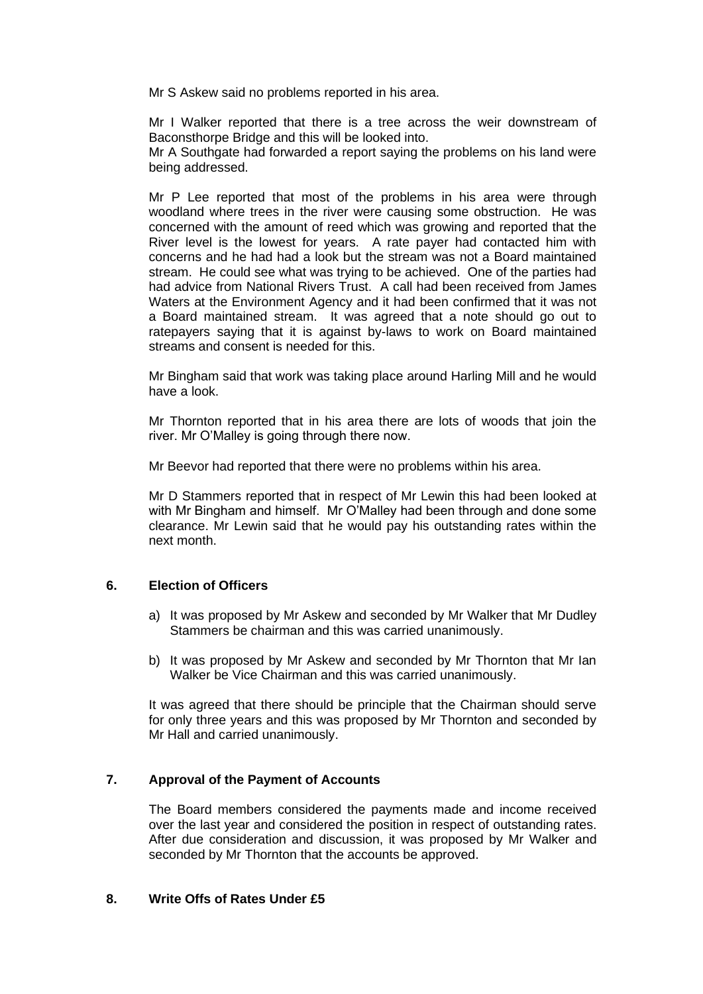Mr S Askew said no problems reported in his area.

Mr I Walker reported that there is a tree across the weir downstream of Baconsthorpe Bridge and this will be looked into.

Mr A Southgate had forwarded a report saying the problems on his land were being addressed.

Mr P Lee reported that most of the problems in his area were through woodland where trees in the river were causing some obstruction. He was concerned with the amount of reed which was growing and reported that the River level is the lowest for years. A rate payer had contacted him with concerns and he had had a look but the stream was not a Board maintained stream. He could see what was trying to be achieved. One of the parties had had advice from National Rivers Trust. A call had been received from James Waters at the Environment Agency and it had been confirmed that it was not a Board maintained stream. It was agreed that a note should go out to ratepayers saying that it is against by-laws to work on Board maintained streams and consent is needed for this.

Mr Bingham said that work was taking place around Harling Mill and he would have a look.

Mr Thornton reported that in his area there are lots of woods that join the river. Mr O'Malley is going through there now.

Mr Beevor had reported that there were no problems within his area.

Mr D Stammers reported that in respect of Mr Lewin this had been looked at with Mr Bingham and himself. Mr O'Malley had been through and done some clearance. Mr Lewin said that he would pay his outstanding rates within the next month.

## **6. Election of Officers**

- a) It was proposed by Mr Askew and seconded by Mr Walker that Mr Dudley Stammers be chairman and this was carried unanimously.
- b) It was proposed by Mr Askew and seconded by Mr Thornton that Mr Ian Walker be Vice Chairman and this was carried unanimously.

It was agreed that there should be principle that the Chairman should serve for only three years and this was proposed by Mr Thornton and seconded by Mr Hall and carried unanimously.

#### **7. Approval of the Payment of Accounts**

The Board members considered the payments made and income received over the last year and considered the position in respect of outstanding rates. After due consideration and discussion, it was proposed by Mr Walker and seconded by Mr Thornton that the accounts be approved.

### **8. Write Offs of Rates Under £5**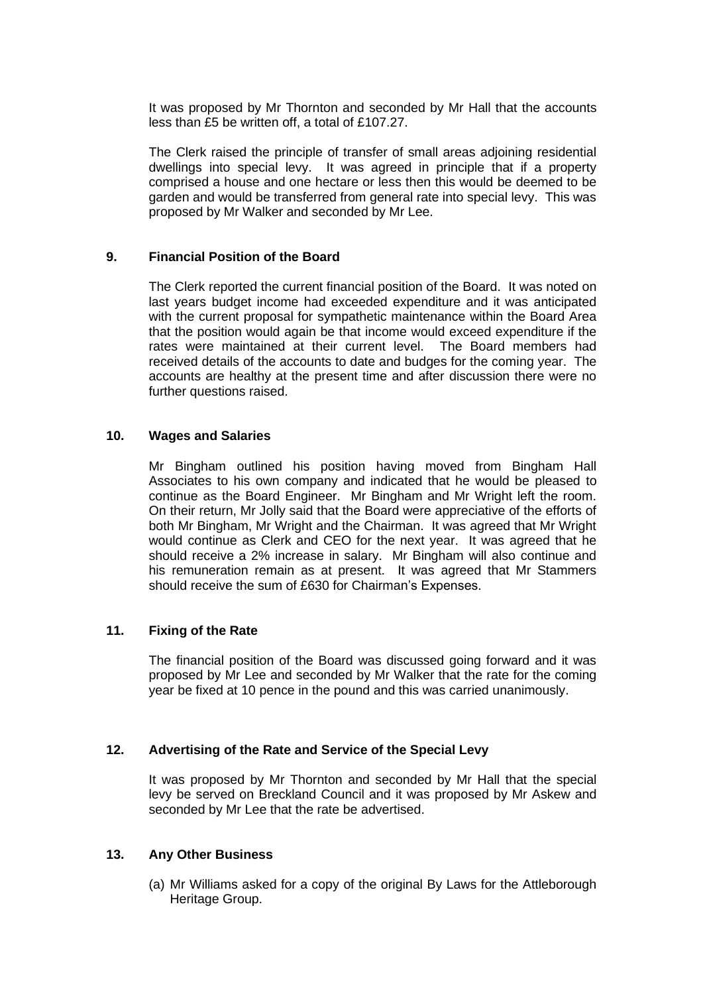It was proposed by Mr Thornton and seconded by Mr Hall that the accounts less than £5 be written off, a total of £107.27.

The Clerk raised the principle of transfer of small areas adjoining residential dwellings into special levy. It was agreed in principle that if a property comprised a house and one hectare or less then this would be deemed to be garden and would be transferred from general rate into special levy. This was proposed by Mr Walker and seconded by Mr Lee.

# **9. Financial Position of the Board**

The Clerk reported the current financial position of the Board. It was noted on last years budget income had exceeded expenditure and it was anticipated with the current proposal for sympathetic maintenance within the Board Area that the position would again be that income would exceed expenditure if the rates were maintained at their current level. The Board members had received details of the accounts to date and budges for the coming year. The accounts are healthy at the present time and after discussion there were no further questions raised.

# **10. Wages and Salaries**

Mr Bingham outlined his position having moved from Bingham Hall Associates to his own company and indicated that he would be pleased to continue as the Board Engineer. Mr Bingham and Mr Wright left the room. On their return, Mr Jolly said that the Board were appreciative of the efforts of both Mr Bingham, Mr Wright and the Chairman. It was agreed that Mr Wright would continue as Clerk and CEO for the next year. It was agreed that he should receive a 2% increase in salary. Mr Bingham will also continue and his remuneration remain as at present. It was agreed that Mr Stammers should receive the sum of £630 for Chairman's Expenses.

# **11. Fixing of the Rate**

The financial position of the Board was discussed going forward and it was proposed by Mr Lee and seconded by Mr Walker that the rate for the coming year be fixed at 10 pence in the pound and this was carried unanimously.

#### **12. Advertising of the Rate and Service of the Special Levy**

It was proposed by Mr Thornton and seconded by Mr Hall that the special levy be served on Breckland Council and it was proposed by Mr Askew and seconded by Mr Lee that the rate be advertised.

## **13. Any Other Business**

(a) Mr Williams asked for a copy of the original By Laws for the Attleborough Heritage Group.